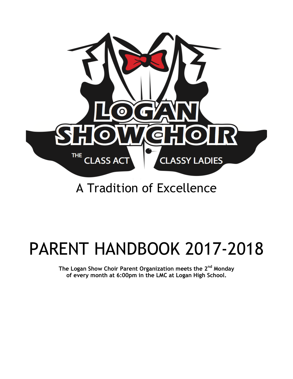

# A Tradition of Excellence

# PARENT HANDBOOK 2017-2018

**The Logan Show Choir Parent Organization meets the 2nd Monday of every month at 6:00pm in the LMC at Logan High School.**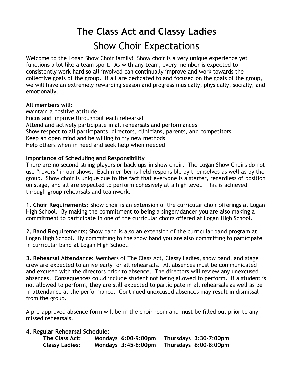## **The Class Act and Classy Ladies**

## Show Choir Expectations

Welcome to the Logan Show Choir family! Show choir is a very unique experience yet functions a lot like a team sport. As with any team, every member is expected to consistently work hard so all involved can continually improve and work towards the collective goals of the group. If all are dedicated to and focused on the goals of the group, we will have an extremely rewarding season and progress musically, physically, socially, and emotionally.

#### **All members will:**

Maintain a positive attitude Focus and improve throughout each rehearsal Attend and actively participate in all rehearsals and performances Show respect to all participants, directors, clinicians, parents, and competitors Keep an open mind and be willing to try new methods Help others when in need and seek help when needed

#### **Importance of Scheduling and Responsibility**

There are no second-string players or back-ups in show choir. The Logan Show Choirs do not use "rovers" in our shows. Each member is held responsible by themselves as well as by the group. Show choir is unique due to the fact that everyone is a starter, regardless of position on stage, and all are expected to perform cohesively at a high level. This is achieved through group rehearsals and teamwork.

**1. Choir Requirements:** Show choir is an extension of the curricular choir offerings at Logan High School. By making the commitment to being a singer/dancer you are also making a commitment to participate in one of the curricular choirs offered at Logan High School.

**2. Band Requirements:** Show band is also an extension of the curricular band program at Logan High School. By committing to the show band you are also committing to participate in curricular band at Logan High School.

**3. Rehearsal Attendance:** Members of The Class Act, Classy Ladies, show band, and stage crew are expected to arrive early for all rehearsals. All absences must be communicated and excused with the directors prior to absence. The directors will review any unexcused absences. Consequences could include student not being allowed to perform. If a student is not allowed to perform, they are still expected to participate in all rehearsals as well as be in attendance at the performance. Continued unexcused absences may result in dismissal from the group.

A pre-approved absence form will be in the choir room and must be filled out prior to any missed rehearsals.

#### **4. Regular Rehearsal Schedule:**

| The Class Act:        | Mondays 6:00-9:00pm | Thursdays 3:30-7:00pm |
|-----------------------|---------------------|-----------------------|
| <b>Classy Ladies:</b> | Mondays 3:45-6:00pm | Thursdays 6:00-8:00pm |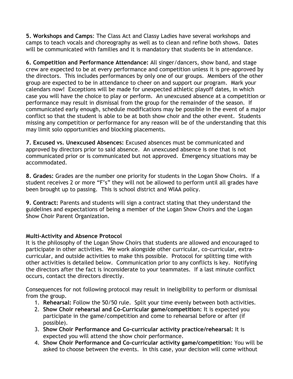**5. Workshops and Camps**: The Class Act and Classy Ladies have several workshops and camps to teach vocals and choreography as well as to clean and refine both shows. Dates will be communicated with families and it is mandatory that students be in attendance.

**6. Competition and Performance Attendance:** All singer/dancers, show band, and stage crew are expected to be at every performance and competition unless it is pre-approved by the directors. This includes performances by only one of our groups. Members of the other group are expected to be in attendance to cheer on and support our program. Mark your calendars now! Exceptions will be made for unexpected athletic playoff dates, in which case you will have the choice to play or perform. An unexcused absence at a competition or performance may result in dismissal from the group for the remainder of the season. If communicated early enough, schedule modifications may be possible in the event of a major conflict so that the student is able to be at both show choir and the other event. Students missing any competition or performance for any reason will be of the understanding that this may limit solo opportunities and blocking placements.

**7. Excused vs. Unexcused Absences:** Excused absences must be communicated and approved by directors prior to said absence. An unexcused absence is one that is not communicated prior or is communicated but not approved. Emergency situations may be accommodated.

**8. Grades:** Grades are the number one priority for students in the Logan Show Choirs. If a student receives 2 or more "F's" they will not be allowed to perform until all grades have been brought up to passing. This is school district and WIAA policy.

**9. Contract:** Parents and students will sign a contract stating that they understand the guidelines and expectations of being a member of the Logan Show Choirs and the Logan Show Choir Parent Organization.

#### **Multi-Activity and Absence Protocol**

It is the philosophy of the Logan Show Choirs that students are allowed and encouraged to participate in other activities. We work alongside other curricular, co-curricular, extracurricular, and outside activities to make this possible. Protocol for splitting time with other activities is detailed below. Communication prior to any conflicts is key. Notifying the directors after the fact is inconsiderate to your teammates. If a last minute conflict occurs, contact the directors directly.

Consequences for not following protocol may result in ineligibility to perform or dismissal from the group.

- 1. **Rehearsal:** Follow the 50/50 rule. Split your time evenly between both activities.
- 2. **Show Choir rehearsal and Co-Curricular game/competition:** It is expected you participate in the game/competition and come to rehearsal before or after (if possible).
- 3. **Show Choir Performance and Co-curricular activity practice/rehearsal:** It is expected you will attend the show choir performance.
- 4. **Show Choir Performance and Co-curricular activity game/competition:** You will be asked to choose between the events. In this case, your decision will come without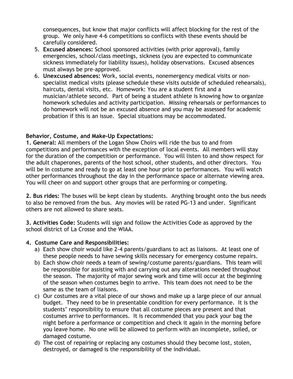consequences, but know that major conflicts will affect blocking for the rest of the group. We only have 4-6 competitions so conflicts with these events should be carefully considered.

- 5. **Excused absences:** School sponsored activities (with prior approval), family emergencies, school/class meetings, sickness (you are expected to communicate sickness immediately for liability issues), holiday observations. Excused absences must always be pre-approved.
- 6. **Unexcused absences:** Work, social events, nonemergency medical visits or nonspecialist medical visits (please schedule these visits outside of scheduled rehearsals), haircuts, dental visits, etc. Homework: You are a student first and a musician/athlete second. Part of being a student athlete is knowing how to organize homework schedules and activity participation. Missing rehearsals or performances to do homework will not be an excused absence and you may be assessed for academic probation if this is an issue. Special situations may be accommodated.

#### **Behavior, Costume, and Make-Up Expectations:**

**1. General:** All members of the Logan Show Choirs will ride the bus to and from competitions and performances with the exception of local events. All members will stay for the duration of the competition or performance. You will listen to and show respect for the adult chaperones, parents of the host school, other students, and other directors. You will be in costume and ready to go at least one hour prior to performances. You will watch other performances throughout the day in the performance space or alternate viewing area. You will cheer on and support other groups that are performing or competing.

**2. Bus rides:** The buses will be kept clean by students. Anything brought onto the bus needs to also be removed from the bus. Any movies will be rated PG-13 and under. Significant others are not allowed to share seats.

**3. Activities Code:** Students will sign and follow the Activities Code as approved by the school district of La Crosse and the WIAA.

#### **4. Costume Care and Responsibilities:**

- a) Each show choir would like 2-4 parents/guardians to act as liaisons. At least one of these people needs to have sewing skills necessary for emergency costume repairs.
- b) Each show choir needs a team of sewing/costume parents/guardians. This team will be responsible for assisting with and carrying out any alterations needed throughout the season. The majority of major sewing work and time will occur at the beginning of the season when costumes begin to arrive. This team does not need to be the same as the team of liaisons.
- c) Our costumes are a vital piece of our shows and make up a large piece of our annual budget. They need to be in presentable condition for every performance. It is the students' responsibility to ensure that all costume pieces are present and that costumes arrive to performances. It is recommended that you pack your bag the night before a performance or competition and check it again in the morning before you leave home. No one will be allowed to perform with an incomplete, soiled, or damaged costume.
- d) The cost of repairing or replacing any costumes should they become lost, stolen, destroyed, or damaged is the responsibility of the individual.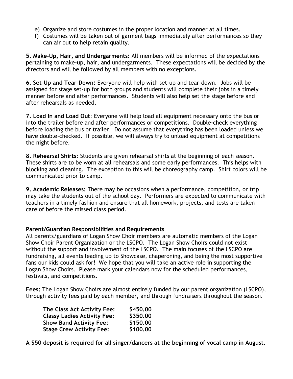- e) Organize and store costumes in the proper location and manner at all times.
- f) Costumes will be taken out of garment bags immediately after performances so they can air out to help retain quality.

**5. Make-Up, Hair, and Undergarments:** All members will be informed of the expectations pertaining to make-up, hair, and undergarments. These expectations will be decided by the directors and will be followed by all members with no exceptions.

**6. Set-Up and Tear-Down:** Everyone will help with set-up and tear-down. Jobs will be assigned for stage set-up for both groups and students will complete their jobs in a timely manner before and after performances. Students will also help set the stage before and after rehearsals as needed.

**7. Load In and Load Out**: Everyone will help load all equipment necessary onto the bus or into the trailer before and after performances or competitions. Double-check everything before loading the bus or trailer. Do not assume that everything has been loaded unless we have double-checked. If possible, we will always try to unload equipment at competitions the night before.

**8. Rehearsal Shirts**: Students are given rehearsal shirts at the beginning of each season. These shirts are to be worn at all rehearsals and some early performances. This helps with blocking and cleaning. The exception to this will be choreography camp. Shirt colors will be communicated prior to camp.

**9. Academic Releases:** There may be occasions when a performance, competition, or trip may take the students out of the school day. Performers are expected to communicate with teachers in a timely fashion and ensure that all homework, projects, and tests are taken care of before the missed class period.

#### **Parent/Guardian Responsibilities and Requirements**

All parents/guardians of Logan Show Choir members are automatic members of the Logan Show Choir Parent Organization or the LSCPO. The Logan Show Choirs could not exist without the support and involvement of the LSCPO. The main focuses of the LSCPO are fundraising, all events leading up to Showcase, chaperoning, and being the most supportive fans our kids could ask for! We hope that you will take an active role in supporting the Logan Show Choirs. Please mark your calendars now for the scheduled performances, festivals, and competitions.

**Fees:** The Logan Show Choirs are almost entirely funded by our parent organization (LSCPO), through activity fees paid by each member, and through fundraisers throughout the season.

| \$450.00 |
|----------|
| \$350.00 |
| \$150.00 |
| \$100.00 |
|          |

**A \$50 deposit is required for all singer/dancers at the beginning of vocal camp in August.**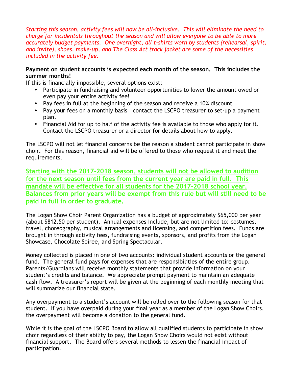*Starting this season, activity fees will now be all-inclusive. This will eliminate the need to charge for incidentals throughout the season and will allow everyone to be able to more accurately budget payments. One overnight, all t-shirts worn by students (rehearsal, spirit, and invite), shoes, make-up, and The Class Act track jacket are some of the necessities included in the activity fee.*

#### **Payment on student accounts is expected each month of the season. This includes the summer months!**

If this is financially impossible, several options exist:

- Participate in fundraising and volunteer opportunities to lower the amount owed or even pay your entire activity fee!
- Pay fees in full at the beginning of the season and receive a 10% discount
- Pay your fees on a monthly basis contact the LSCPO treasurer to set-up a payment plan.
- Financial Aid for up to half of the activity fee is available to those who apply for it. Contact the LSCPO treasurer or a director for details about how to apply.

The LSCPO will not let financial concerns be the reason a student cannot participate in show choir. For this reason, financial aid will be offered to those who request it and meet the requirements.

**Starting with the 2017-2018 season, students will not be allowed to audition for the next season until fees from the current year are paid in full. This mandate will be effective for all students for the 2017-2018 school year. Balances from prior years will be exempt from this rule but will still need to be paid in full in order to graduate.**

The Logan Show Choir Parent Organization has a budget of approximately \$65,000 per year (about \$812.50 per student). Annual expenses include, but are not limited to: costumes, travel, choreography, musical arrangements and licensing, and competition fees. Funds are brought in through activity fees, fundraising events, sponsors, and profits from the Logan Showcase, Chocolate Soiree, and Spring Spectacular.

Money collected is placed in one of two accounts: individual student accounts or the general fund. The general fund pays for expenses that are responsibilities of the entire group. Parents/Guardians will receive monthly statements that provide information on your student's credits and balance. We appreciate prompt payment to maintain an adequate cash flow. A treasurer's report will be given at the beginning of each monthly meeting that will summarize our financial state.

Any overpayment to a student's account will be rolled over to the following season for that student. If you have overpaid during your final year as a member of the Logan Show Choirs, the overpayment will become a donation to the general fund.

While it is the goal of the LSCPO Board to allow all qualified students to participate in show choir regardless of their ability to pay, the Logan Show Choirs would not exist without financial support. The Board offers several methods to lessen the financial impact of participation.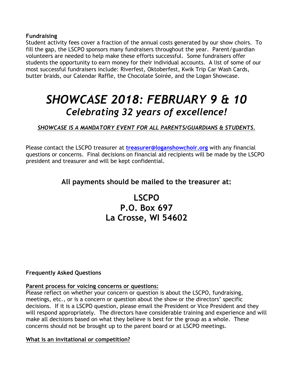**Fundraising**

Student activity fees cover a fraction of the annual costs generated by our show choirs. To fill the gap, the LSCPO sponsors many fundraisers throughout the year. Parent/guardian volunteers are needed to help make these efforts successful. Some fundraisers offer students the opportunity to earn money for their individual accounts. A list of some of our most successful fundraisers include: Riverfest, Oktoberfest, Kwik Trip Car Wash Cards, butter braids, our Calendar Raffle, the Chocolate Soirée, and the Logan Showcase.

## *SHOWCASE 2018: FEBRUARY 9 & 10 Celebrating 32 years of excellence!*

*SHOWCASE IS A MANDATORY EVENT FOR ALL PARENTS/GUARDIANS & STUDENTS.*

Please contact the LSCPO treasurer at **treasurer@loganshowchoir.org** with any financial questions or concerns. Final decisions on financial aid recipients will be made by the LSCPO president and treasurer and will be kept confidential.

#### **All payments should be mailed to the treasurer at:**

### **LSCPO P.O. Box 697 La Crosse, WI 54602**

#### **Frequently Asked Questions**

#### **Parent process for voicing concerns or questions:**

Please reflect on whether your concern or question is about the LSCPO, fundraising, meetings, etc., or is a concern or question about the show or the directors' specific decisions. If it is a LSCPO question, please email the President or Vice President and they will respond appropriately. The directors have considerable training and experience and will make all decisions based on what they believe is best for the group as a whole. These concerns should not be brought up to the parent board or at LSCPO meetings.

#### **What is an invitational or competition?**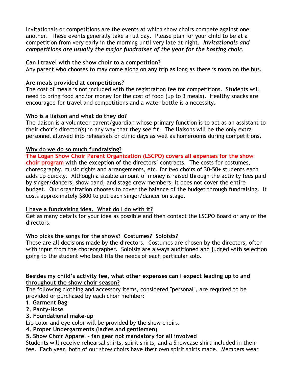Invitationals or competitions are the events at which show choirs compete against one another. These events generally take a full day. Please plan for your child to be at a competition from very early in the morning until very late at night. *Invitationals and competitions are usually the major fundraiser of the year for the hosting choir.*

#### **Can I travel with the show choir to a competition?**

Any parent who chooses to may come along on any trip as long as there is room on the bus.

#### **Are meals provided at competitions?**

The cost of meals is not included with the registration fee for competitions. Students will need to bring food and/or money for the cost of food (up to 3 meals). Healthy snacks are encouraged for travel and competitions and a water bottle is a necessity.

#### **Who is a liaison and what do they do?**

The liaison is a volunteer parent/guardian whose primary function is to act as an assistant to their choir's director(s) in any way that they see fit. The liaisons will be the only extra personnel allowed into rehearsals or clinic days as well as homerooms during competitions.

#### **Why do we do so much fundraising?**

**The Logan Show Choir Parent Organization (LSCPO) covers all expenses for the show choir program** with the exception of the directors' contracts. The costs for costumes, choreography, music rights and arrangements, etc. for two choirs of 30-50+ students each adds up quickly. Although a sizable amount of money is raised through the activity fees paid by singer/dancers, show band, and stage crew members, it does not cover the entire budget. Our organization chooses to cover the balance of the budget through fundraising. It costs approximately \$800 to put each singer/dancer on stage.

#### **I have a fundraising idea. What do I do with it?**

Get as many details for your idea as possible and then contact the LSCPO Board or any of the directors.

#### **Who picks the songs for the shows? Costumes? Soloists?**

These are all decisions made by the directors. Costumes are chosen by the directors, often with input from the choreographer. Soloists are always auditioned and judged with selection going to the student who best fits the needs of each particular solo.

#### **Besides my child's activity fee, what other expenses can I expect leading up to and throughout the show choir season?**

The following clothing and accessory items, considered "personal", are required to be provided or purchased by each choir member:

#### 1. **Garment Bag**

#### **2. Panty-Hose**

**3. Foundational make-up**

Lip color and eye color will be provided by the show choirs.

#### **4. Proper Undergarments (ladies and gentlemen)**

#### **5. Show Choir Apparel – fan gear not mandatory for all involved**

Students will receive rehearsal shirts, spirit shirts, and a Showcase shirt included in their fee. Each year, both of our show choirs have their own spirit shirts made. Members wear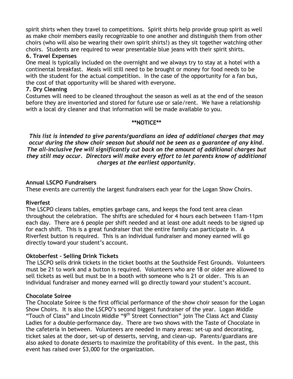spirit shirts when they travel to competitions. Spirit shirts help provide group spirit as well as make choir members easily recognizable to one another and distinguish them from other choirs (who will also be wearing their own spirit shirts!) as they sit together watching other choirs. Students are required to wear presentable blue jeans with their spirit shirts.

#### **6. Travel Expenses**

One meal is typically included on the overnight and we always try to stay at a hotel with a continental breakfast. Meals will still need to be brought or money for food needs to be with the student for the actual competition. In the case of the opportunity for a fan bus, the cost of that opportunity will be shared with everyone.

#### **7. Dry Cleaning**

Costumes will need to be cleaned throughout the season as well as at the end of the season before they are inventoried and stored for future use or sale/rent. We have a relationship with a local dry cleaner and that information will be made available to you.

#### **\*\*NOTICE\*\***

*This list is intended to give parents/guardians an idea of additional charges that may occur during the show choir season but should not be seen as a guarantee of any kind. The all-inclusive fee will significantly cut back on the amount of additional charges but they still may occur. Directors will make every effort to let parents know of additional charges at the earliest opportunity.*

#### **Annual LSCPO Fundraisers**

These events are currently the largest fundraisers each year for the Logan Show Choirs.

#### **Riverfest**

The LSCPO cleans tables, empties garbage cans, and keeps the food tent area clean throughout the celebration. The shifts are scheduled for 4 hours each between 11am-11pm each day. There are 6 people per shift needed and at least one adult needs to be signed up for each shift. This is a great fundraiser that the entire family can participate in. A Riverfest button is required. This is an individual fundraiser and money earned will go directly toward your student's account.

#### **Oktoberfest – Selling Drink Tickets**

The LSCPO sells drink tickets in the ticket booths at the Southside Fest Grounds. Volunteers must be 21 to work and a button is required. Volunteers who are 18 or older are allowed to sell tickets as well but must be in a booth with someone who is 21 or older. This is an individual fundraiser and money earned will go directly toward your student's account.

#### **Chocolate Soiree**

The Chocolate Soiree is the first official performance of the show choir season for the Logan Show Choirs. It is also the LSCPO's second biggest fundraiser of the year. Logan Middle "Touch of Class" and Lincoln Middle "9<sup>th</sup> Street Connection" join The Class Act and Classy Ladies for a double-performance day. There are two shows with the Taste of Chocolate in the cafeteria in between. Volunteers are needed in many areas: set-up and decorating, ticket sales at the door, set-up of desserts, serving, and clean-up. Parents/guardians are also asked to donate desserts to maximize the profitability of this event. In the past, this event has raised over \$3,000 for the organization.